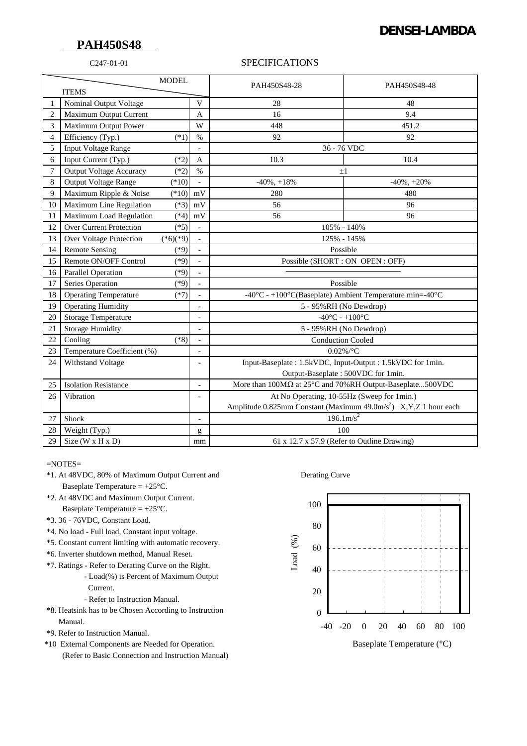# **DENSEI-LAMBDA**

# **PAH450S48**

### C247-01-01 SPECIFICATIONS

| <b>MODEL</b>   |                                |                                                                             |                                                                                                                                                                                                                                                                                                                                                                                                                                | PAH450S48-28                                                                             | PAH450S48-48      |
|----------------|--------------------------------|-----------------------------------------------------------------------------|--------------------------------------------------------------------------------------------------------------------------------------------------------------------------------------------------------------------------------------------------------------------------------------------------------------------------------------------------------------------------------------------------------------------------------|------------------------------------------------------------------------------------------|-------------------|
| <b>ITEMS</b>   |                                |                                                                             |                                                                                                                                                                                                                                                                                                                                                                                                                                |                                                                                          |                   |
|                | Nominal Output Voltage         |                                                                             | $\overline{V}$                                                                                                                                                                                                                                                                                                                                                                                                                 | 28                                                                                       | 48                |
| $\overline{2}$ | Maximum Output Current         |                                                                             | A                                                                                                                                                                                                                                                                                                                                                                                                                              | 16                                                                                       | 9.4               |
| 3              | Maximum Output Power           |                                                                             | W                                                                                                                                                                                                                                                                                                                                                                                                                              | 448                                                                                      | 451.2             |
| 4              | Efficiency (Typ.)              | $(*1)$                                                                      | $\%$                                                                                                                                                                                                                                                                                                                                                                                                                           | 92                                                                                       | 92                |
| 5              | <b>Input Voltage Range</b>     |                                                                             |                                                                                                                                                                                                                                                                                                                                                                                                                                | 36 - 76 VDC                                                                              |                   |
| 6              | Input Current (Typ.)           | $(*2)$                                                                      | A                                                                                                                                                                                                                                                                                                                                                                                                                              | 10.3                                                                                     | 10.4              |
| 7              | <b>Output Voltage Accuracy</b> | $(*2)$                                                                      | $\%$                                                                                                                                                                                                                                                                                                                                                                                                                           | $\pm 1$                                                                                  |                   |
| 8              | <b>Output Voltage Range</b>    | $(*10)$                                                                     |                                                                                                                                                                                                                                                                                                                                                                                                                                | $-40\%$ , $+18\%$                                                                        | $-40\%$ , $+20\%$ |
| 9              | Maximum Ripple & Noise         | $(*10)$                                                                     | mV                                                                                                                                                                                                                                                                                                                                                                                                                             | 280                                                                                      | 480               |
| 10             | Maximum Line Regulation        | $(*3)$                                                                      | mV                                                                                                                                                                                                                                                                                                                                                                                                                             | 56                                                                                       | 96                |
| 11             | Maximum Load Regulation        | $(*4)$                                                                      | mV                                                                                                                                                                                                                                                                                                                                                                                                                             | 56                                                                                       | 96                |
| 12             | Over Current Protection        | $(*5)$                                                                      |                                                                                                                                                                                                                                                                                                                                                                                                                                | 105% - 140%                                                                              |                   |
| 13             | <b>Over Voltage Protection</b> | $(*6)(*9)$                                                                  |                                                                                                                                                                                                                                                                                                                                                                                                                                | 125% - 145%                                                                              |                   |
| 14             | <b>Remote Sensing</b>          | $(*9)$                                                                      | $\overline{\phantom{0}}$                                                                                                                                                                                                                                                                                                                                                                                                       | Possible                                                                                 |                   |
| 15             | Remote ON/OFF Control          | $(*9)$                                                                      | $\overline{a}$                                                                                                                                                                                                                                                                                                                                                                                                                 | Possible (SHORT : ON OPEN : OFF)                                                         |                   |
| 16             | <b>Parallel Operation</b>      | $(*9)$                                                                      |                                                                                                                                                                                                                                                                                                                                                                                                                                |                                                                                          |                   |
| 17             | Series Operation               | $(*9)$                                                                      |                                                                                                                                                                                                                                                                                                                                                                                                                                | Possible                                                                                 |                   |
| 18             | <b>Operating Temperature</b>   | $(*7)$                                                                      | $\overline{a}$                                                                                                                                                                                                                                                                                                                                                                                                                 | -40 $^{\circ}$ C - +100 $^{\circ}$ C(Baseplate) Ambient Temperature min=-40 $^{\circ}$ C |                   |
| 19             | <b>Operating Humidity</b>      |                                                                             | $\overline{a}$                                                                                                                                                                                                                                                                                                                                                                                                                 | 5 - 95%RH (No Dewdrop)                                                                   |                   |
| 20             | <b>Storage Temperature</b>     |                                                                             | $\overline{\phantom{a}}$                                                                                                                                                                                                                                                                                                                                                                                                       | $-40^{\circ}$ C - $+100^{\circ}$ C                                                       |                   |
| 21             | <b>Storage Humidity</b>        |                                                                             | $\overline{a}$                                                                                                                                                                                                                                                                                                                                                                                                                 | 5 - 95%RH (No Dewdrop)                                                                   |                   |
| 22             | Cooling                        | $(*8)$                                                                      | $\blacksquare$                                                                                                                                                                                                                                                                                                                                                                                                                 | <b>Conduction Cooled</b>                                                                 |                   |
| 23             | Temperature Coefficient (%)    |                                                                             | $\overline{a}$                                                                                                                                                                                                                                                                                                                                                                                                                 | $0.02\%$ /°C                                                                             |                   |
| 24             | Withstand Voltage              | Input-Baseplate: 1.5kVDC, Input-Output: 1.5kVDC for 1min.<br>$\overline{a}$ |                                                                                                                                                                                                                                                                                                                                                                                                                                |                                                                                          |                   |
|                |                                |                                                                             |                                                                                                                                                                                                                                                                                                                                                                                                                                | Output-Baseplate: 500VDC for 1min.                                                       |                   |
| 25             | <b>Isolation Resistance</b>    |                                                                             | $\blacksquare$                                                                                                                                                                                                                                                                                                                                                                                                                 | More than 100MΩ at 25°C and 70%RH Output-Baseplate500VDC                                 |                   |
| 26             | Vibration                      |                                                                             | $\overline{\phantom{a}}$                                                                                                                                                                                                                                                                                                                                                                                                       | At No Operating, 10-55Hz (Sweep for 1min.)                                               |                   |
|                |                                |                                                                             |                                                                                                                                                                                                                                                                                                                                                                                                                                | Amplitude 0.825mm Constant (Maximum 49.0m/s <sup>2</sup> ) X, Y, Z 1 hour each           |                   |
| 27             | Shock                          |                                                                             | $\blacksquare$                                                                                                                                                                                                                                                                                                                                                                                                                 | $196.1 \text{m/s}^2$                                                                     |                   |
| 28             | Weight (Typ.)                  |                                                                             | $\mathbf{g}% _{T}=\mathbf{g}_{T}=\mathbf{g}_{T}=\mathbf{g}_{T}=\mathbf{g}_{T}=\mathbf{g}_{T}=\mathbf{g}_{T}=\mathbf{g}_{T}=\mathbf{g}_{T}=\mathbf{g}_{T}=\mathbf{g}_{T}=\mathbf{g}_{T}=\mathbf{g}_{T}=\mathbf{g}_{T}=\mathbf{g}_{T}=\mathbf{g}_{T}=\mathbf{g}_{T}=\mathbf{g}_{T}=\mathbf{g}_{T}=\mathbf{g}_{T}=\mathbf{g}_{T}=\mathbf{g}_{T}=\mathbf{g}_{T}=\mathbf{g}_{T}=\mathbf{g}_{T}=\mathbf{g}_{T}=\mathbf{g}_{T}=\math$ | 100                                                                                      |                   |
| 29             | Size ( $W \times H \times D$ ) |                                                                             | mm                                                                                                                                                                                                                                                                                                                                                                                                                             | 61 x 12.7 x 57.9 (Refer to Outline Drawing)                                              |                   |

 $=$ NOTES $=$ 

- \*1. At 48VDC, 80% of Maximum Output Current and Derating Curve Baseplate Temperature  $= +25^{\circ}$ C.
- \*2. At 48VDC and Maximum Output Current. Baseplate Temperature  $= +25^{\circ}$ C.
- \*3. 36 76VDC, Constant Load.
- \*4. No load Full load, Constant input voltage.
- \*5. Constant current limiting with automatic recovery.
- \*6. Inverter shutdown method, Manual Reset.
- \*7. Ratings Refer to Derating Curve on the Right.
	- Load(%) is Percent of Maximum Output Current.
		- Refer to Instruction Manual.
- \*8. Heatsink has to be Chosen According to Instruction Manual.
- \*9. Refer to Instruction Manual.
- \*10 External Components are Needed for Operation. (Refer to Basic Connection and Instruction Manual)